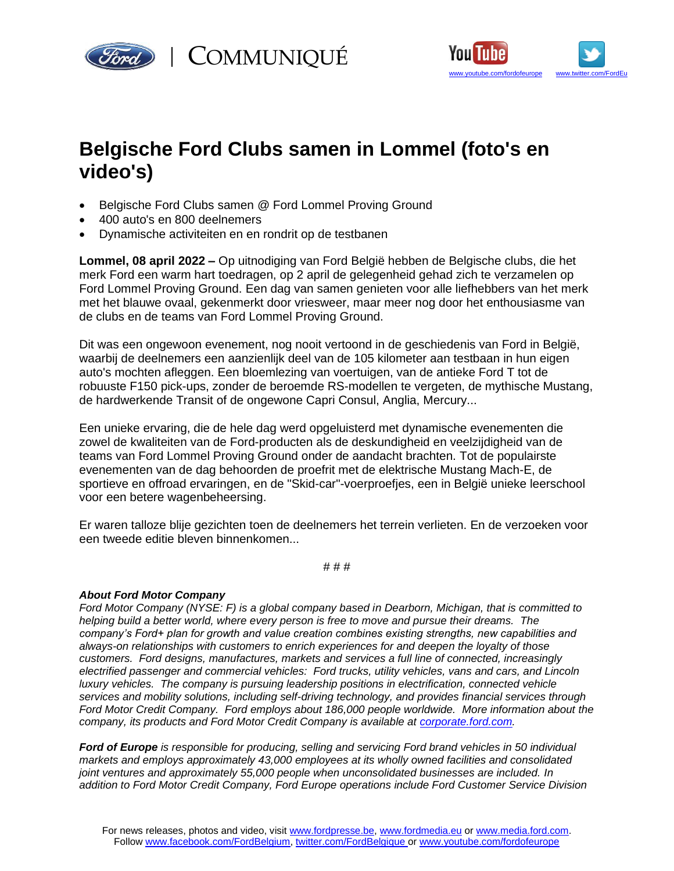



## **Belgische Ford Clubs samen in Lommel (foto's en video's)**

- Belgische Ford Clubs samen @ Ford Lommel Proving Ground
- 400 auto's en 800 deelnemers
- Dynamische activiteiten en en rondrit op de testbanen

**Lommel, 08 april 2022 –** Op uitnodiging van Ford België hebben de Belgische clubs, die het merk Ford een warm hart toedragen, op 2 april de gelegenheid gehad zich te verzamelen op Ford Lommel Proving Ground. Een dag van samen genieten voor alle liefhebbers van het merk met het blauwe ovaal, gekenmerkt door vriesweer, maar meer nog door het enthousiasme van de clubs en de teams van Ford Lommel Proving Ground.

Dit was een ongewoon evenement, nog nooit vertoond in de geschiedenis van Ford in België, waarbij de deelnemers een aanzienlijk deel van de 105 kilometer aan testbaan in hun eigen auto's mochten afleggen. Een bloemlezing van voertuigen, van de antieke Ford T tot de robuuste F150 pick-ups, zonder de beroemde RS-modellen te vergeten, de mythische Mustang, de hardwerkende Transit of de ongewone Capri Consul, Anglia, Mercury...

Een unieke ervaring, die de hele dag werd opgeluisterd met dynamische evenementen die zowel de kwaliteiten van de Ford-producten als de deskundigheid en veelzijdigheid van de teams van Ford Lommel Proving Ground onder de aandacht brachten. Tot de populairste evenementen van de dag behoorden de proefrit met de elektrische Mustang Mach-E, de sportieve en offroad ervaringen, en de "Skid-car"-voerproefjes, een in België unieke leerschool voor een betere wagenbeheersing.

Er waren talloze blije gezichten toen de deelnemers het terrein verlieten. En de verzoeken voor een tweede editie bleven binnenkomen...

# # #

## *About Ford Motor Company*

*Ford Motor Company (NYSE: F) is a global company based in Dearborn, Michigan, that is committed to helping build a better world, where every person is free to move and pursue their dreams. The company's Ford+ plan for growth and value creation combines existing strengths, new capabilities and always-on relationships with customers to enrich experiences for and deepen the loyalty of those customers. Ford designs, manufactures, markets and services a full line of connected, increasingly electrified passenger and commercial vehicles: Ford trucks, utility vehicles, vans and cars, and Lincoln luxury vehicles. The company is pursuing leadership positions in electrification, connected vehicle services and mobility solutions, including self-driving technology, and provides financial services through Ford Motor Credit Company. Ford employs about 186,000 people worldwide. More information about the company, its products and Ford Motor Credit Company is available at [corporate.ford.com.](https://corporate.ford.com/)*

*Ford of Europe is responsible for producing, selling and servicing Ford brand vehicles in 50 individual markets and employs approximately 43,000 employees at its wholly owned facilities and consolidated joint ventures and approximately 55,000 people when unconsolidated businesses are included. In addition to Ford Motor Credit Company, Ford Europe operations include Ford Customer Service Division*